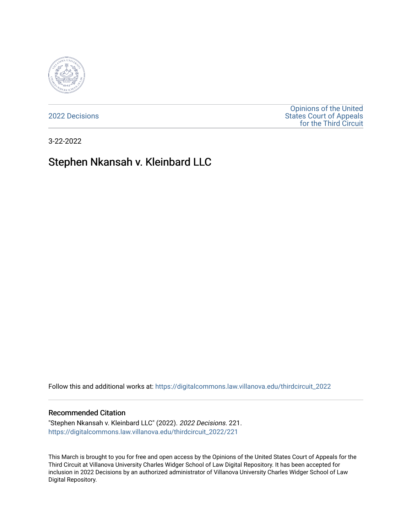

[2022 Decisions](https://digitalcommons.law.villanova.edu/thirdcircuit_2022)

[Opinions of the United](https://digitalcommons.law.villanova.edu/thirdcircuit)  [States Court of Appeals](https://digitalcommons.law.villanova.edu/thirdcircuit)  [for the Third Circuit](https://digitalcommons.law.villanova.edu/thirdcircuit) 

3-22-2022

# Stephen Nkansah v. Kleinbard LLC

Follow this and additional works at: [https://digitalcommons.law.villanova.edu/thirdcircuit\\_2022](https://digitalcommons.law.villanova.edu/thirdcircuit_2022?utm_source=digitalcommons.law.villanova.edu%2Fthirdcircuit_2022%2F221&utm_medium=PDF&utm_campaign=PDFCoverPages) 

#### Recommended Citation

"Stephen Nkansah v. Kleinbard LLC" (2022). 2022 Decisions. 221. [https://digitalcommons.law.villanova.edu/thirdcircuit\\_2022/221](https://digitalcommons.law.villanova.edu/thirdcircuit_2022/221?utm_source=digitalcommons.law.villanova.edu%2Fthirdcircuit_2022%2F221&utm_medium=PDF&utm_campaign=PDFCoverPages)

This March is brought to you for free and open access by the Opinions of the United States Court of Appeals for the Third Circuit at Villanova University Charles Widger School of Law Digital Repository. It has been accepted for inclusion in 2022 Decisions by an authorized administrator of Villanova University Charles Widger School of Law Digital Repository.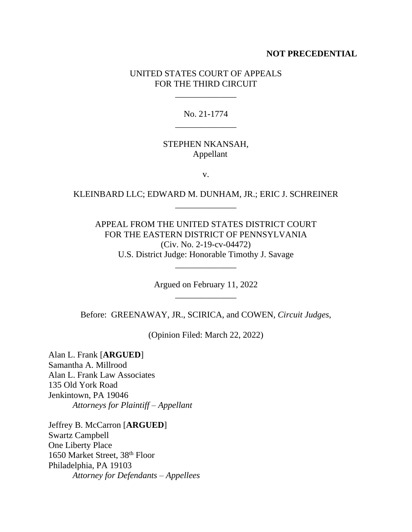## **NOT PRECEDENTIAL**

## UNITED STATES COURT OF APPEALS FOR THE THIRD CIRCUIT

\_\_\_\_\_\_\_\_\_\_\_\_\_\_

## No. 21-1774 \_\_\_\_\_\_\_\_\_\_\_\_\_\_

## STEPHEN NKANSAH, Appellant

v.

# KLEINBARD LLC; EDWARD M. DUNHAM, JR.; ERIC J. SCHREINER \_\_\_\_\_\_\_\_\_\_\_\_\_\_

APPEAL FROM THE UNITED STATES DISTRICT COURT FOR THE EASTERN DISTRICT OF PENNSYLVANIA (Civ. No. 2-19-cv-04472) U.S. District Judge: Honorable Timothy J. Savage

> Argued on February 11, 2022 \_\_\_\_\_\_\_\_\_\_\_\_\_\_

\_\_\_\_\_\_\_\_\_\_\_\_\_\_

Before: GREENAWAY, JR., SCIRICA, and COWEN, *Circuit Judges*,

(Opinion Filed: March 22, 2022)

Alan L. Frank [**ARGUED**] Samantha A. Millrood Alan L. Frank Law Associates 135 Old York Road Jenkintown, PA 19046 *Attorneys for Plaintiff – Appellant*

Jeffrey B. McCarron [**ARGUED**] Swartz Campbell One Liberty Place 1650 Market Street, 38th Floor Philadelphia, PA 19103 *Attorney for Defendants – Appellees*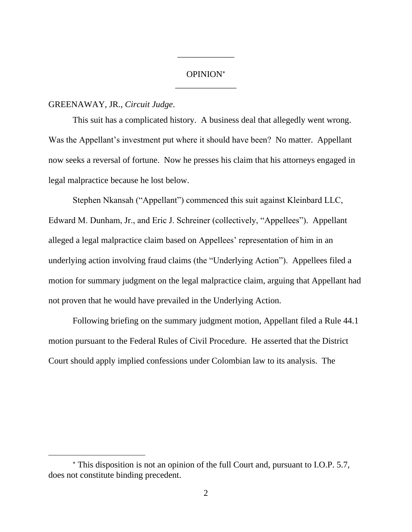# OPINION \_\_\_\_\_\_\_\_\_\_\_\_\_\_

\_\_\_\_\_\_\_\_\_\_\_\_\_

### GREENAWAY, JR., *Circuit Judge*.

This suit has a complicated history. A business deal that allegedly went wrong. Was the Appellant's investment put where it should have been? No matter. Appellant now seeks a reversal of fortune. Now he presses his claim that his attorneys engaged in legal malpractice because he lost below.

Stephen Nkansah ("Appellant") commenced this suit against Kleinbard LLC, Edward M. Dunham, Jr., and Eric J. Schreiner (collectively, "Appellees"). Appellant alleged a legal malpractice claim based on Appellees' representation of him in an underlying action involving fraud claims (the "Underlying Action"). Appellees filed a motion for summary judgment on the legal malpractice claim, arguing that Appellant had not proven that he would have prevailed in the Underlying Action.

Following briefing on the summary judgment motion, Appellant filed a Rule 44.1 motion pursuant to the Federal Rules of Civil Procedure. He asserted that the District Court should apply implied confessions under Colombian law to its analysis. The

This disposition is not an opinion of the full Court and, pursuant to I.O.P. 5.7, does not constitute binding precedent.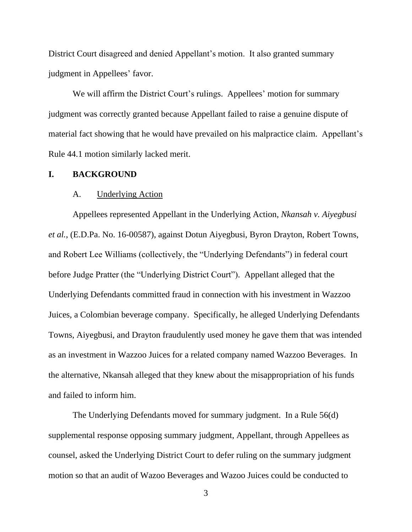District Court disagreed and denied Appellant's motion. It also granted summary judgment in Appellees' favor.

We will affirm the District Court's rulings. Appellees' motion for summary judgment was correctly granted because Appellant failed to raise a genuine dispute of material fact showing that he would have prevailed on his malpractice claim. Appellant's Rule 44.1 motion similarly lacked merit.

### **I. BACKGROUND**

#### A. Underlying Action

Appellees represented Appellant in the Underlying Action, *Nkansah v. Aiyegbusi et al.*, (E.D.Pa. No. 16-00587), against Dotun Aiyegbusi, Byron Drayton, Robert Towns, and Robert Lee Williams (collectively, the "Underlying Defendants") in federal court before Judge Pratter (the "Underlying District Court"). Appellant alleged that the Underlying Defendants committed fraud in connection with his investment in Wazzoo Juices, a Colombian beverage company. Specifically, he alleged Underlying Defendants Towns, Aiyegbusi, and Drayton fraudulently used money he gave them that was intended as an investment in Wazzoo Juices for a related company named Wazzoo Beverages. In the alternative, Nkansah alleged that they knew about the misappropriation of his funds and failed to inform him.

The Underlying Defendants moved for summary judgment. In a Rule 56(d) supplemental response opposing summary judgment, Appellant, through Appellees as counsel, asked the Underlying District Court to defer ruling on the summary judgment motion so that an audit of Wazoo Beverages and Wazoo Juices could be conducted to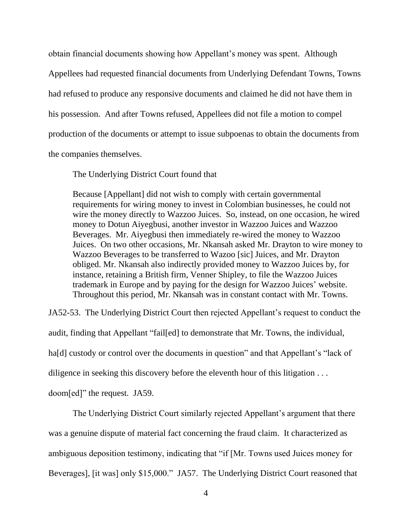obtain financial documents showing how Appellant's money was spent. Although Appellees had requested financial documents from Underlying Defendant Towns, Towns had refused to produce any responsive documents and claimed he did not have them in his possession. And after Towns refused, Appellees did not file a motion to compel production of the documents or attempt to issue subpoenas to obtain the documents from the companies themselves.

The Underlying District Court found that

Because [Appellant] did not wish to comply with certain governmental requirements for wiring money to invest in Colombian businesses, he could not wire the money directly to Wazzoo Juices. So, instead, on one occasion, he wired money to Dotun Aiyegbusi, another investor in Wazzoo Juices and Wazzoo Beverages. Mr. Aiyegbusi then immediately re-wired the money to Wazzoo Juices. On two other occasions, Mr. Nkansah asked Mr. Drayton to wire money to Wazzoo Beverages to be transferred to Wazoo [sic] Juices, and Mr. Drayton obliged. Mr. Nkansah also indirectly provided money to Wazzoo Juices by, for instance, retaining a British firm, Venner Shipley, to file the Wazzoo Juices trademark in Europe and by paying for the design for Wazzoo Juices' website. Throughout this period, Mr. Nkansah was in constant contact with Mr. Towns.

JA52-53. The Underlying District Court then rejected Appellant's request to conduct the audit, finding that Appellant "fail[ed] to demonstrate that Mr. Towns, the individual, ha<sup>[d]</sup> custody or control over the documents in question" and that Appellant's "lack of diligence in seeking this discovery before the eleventh hour of this litigation . . . doom[ed]" the request. JA59.

The Underlying District Court similarly rejected Appellant's argument that there was a genuine dispute of material fact concerning the fraud claim. It characterized as ambiguous deposition testimony, indicating that "if [Mr. Towns used Juices money for Beverages], [it was] only \$15,000." JA57. The Underlying District Court reasoned that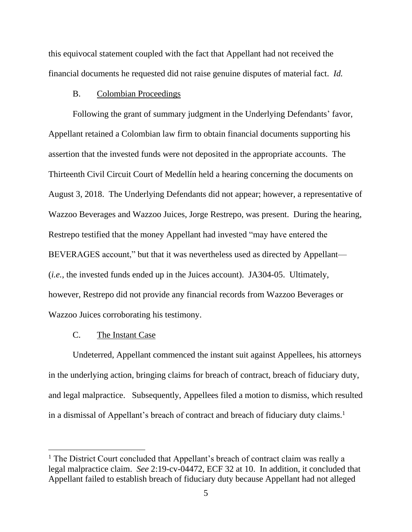this equivocal statement coupled with the fact that Appellant had not received the financial documents he requested did not raise genuine disputes of material fact. *Id.*

## B. Colombian Proceedings

Following the grant of summary judgment in the Underlying Defendants' favor, Appellant retained a Colombian law firm to obtain financial documents supporting his assertion that the invested funds were not deposited in the appropriate accounts. The Thirteenth Civil Circuit Court of Medellín held a hearing concerning the documents on August 3, 2018. The Underlying Defendants did not appear; however, a representative of Wazzoo Beverages and Wazzoo Juices, Jorge Restrepo, was present. During the hearing, Restrepo testified that the money Appellant had invested "may have entered the BEVERAGES account," but that it was nevertheless used as directed by Appellant— (*i.e.*, the invested funds ended up in the Juices account). JA304-05. Ultimately, however, Restrepo did not provide any financial records from Wazzoo Beverages or Wazzoo Juices corroborating his testimony.

#### C. The Instant Case

Undeterred, Appellant commenced the instant suit against Appellees, his attorneys in the underlying action, bringing claims for breach of contract, breach of fiduciary duty, and legal malpractice. Subsequently, Appellees filed a motion to dismiss, which resulted in a dismissal of Appellant's breach of contract and breach of fiduciary duty claims.<sup>1</sup>

 $<sup>1</sup>$  The District Court concluded that Appellant's breach of contract claim was really a</sup> legal malpractice claim. *See* 2:19-cv-04472, ECF 32 at 10. In addition, it concluded that Appellant failed to establish breach of fiduciary duty because Appellant had not alleged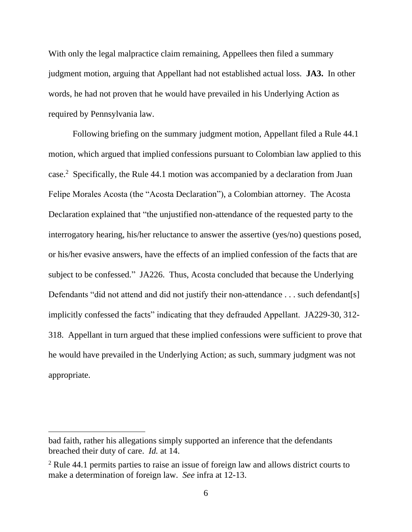With only the legal malpractice claim remaining, Appellees then filed a summary judgment motion, arguing that Appellant had not established actual loss. **JA3.** In other words, he had not proven that he would have prevailed in his Underlying Action as required by Pennsylvania law.

Following briefing on the summary judgment motion, Appellant filed a Rule 44.1 motion, which argued that implied confessions pursuant to Colombian law applied to this case.<sup>2</sup> Specifically, the Rule 44.1 motion was accompanied by a declaration from Juan Felipe Morales Acosta (the "Acosta Declaration"), a Colombian attorney. The Acosta Declaration explained that "the unjustified non-attendance of the requested party to the interrogatory hearing, his/her reluctance to answer the assertive (yes/no) questions posed, or his/her evasive answers, have the effects of an implied confession of the facts that are subject to be confessed." JA226. Thus, Acosta concluded that because the Underlying Defendants "did not attend and did not justify their non-attendance . . . such defendant[s] implicitly confessed the facts" indicating that they defrauded Appellant. JA229-30, 312- 318. Appellant in turn argued that these implied confessions were sufficient to prove that he would have prevailed in the Underlying Action; as such, summary judgment was not appropriate.

bad faith, rather his allegations simply supported an inference that the defendants breached their duty of care. *Id.* at 14.

<sup>2</sup> Rule 44.1 permits parties to raise an issue of foreign law and allows district courts to make a determination of foreign law. *See* infra at 12-13.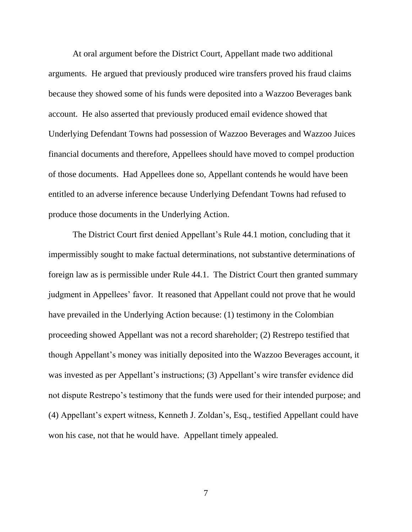At oral argument before the District Court, Appellant made two additional arguments. He argued that previously produced wire transfers proved his fraud claims because they showed some of his funds were deposited into a Wazzoo Beverages bank account. He also asserted that previously produced email evidence showed that Underlying Defendant Towns had possession of Wazzoo Beverages and Wazzoo Juices financial documents and therefore, Appellees should have moved to compel production of those documents. Had Appellees done so, Appellant contends he would have been entitled to an adverse inference because Underlying Defendant Towns had refused to produce those documents in the Underlying Action.

The District Court first denied Appellant's Rule 44.1 motion, concluding that it impermissibly sought to make factual determinations, not substantive determinations of foreign law as is permissible under Rule 44.1. The District Court then granted summary judgment in Appellees' favor. It reasoned that Appellant could not prove that he would have prevailed in the Underlying Action because: (1) testimony in the Colombian proceeding showed Appellant was not a record shareholder; (2) Restrepo testified that though Appellant's money was initially deposited into the Wazzoo Beverages account, it was invested as per Appellant's instructions; (3) Appellant's wire transfer evidence did not dispute Restrepo's testimony that the funds were used for their intended purpose; and (4) Appellant's expert witness, Kenneth J. Zoldan's, Esq., testified Appellant could have won his case, not that he would have. Appellant timely appealed.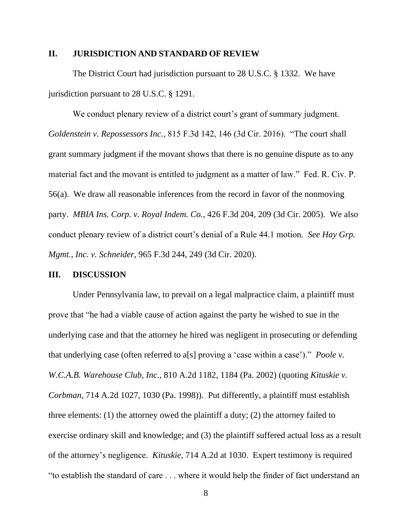### **II. JURISDICTION AND STANDARD OF REVIEW**

The District Court had jurisdiction pursuant to 28 U.S.C. § 1332. We have jurisdiction pursuant to 28 U.S.C. § 1291.

We conduct plenary review of a district court's grant of summary judgment. *Goldenstein v. Repossessors Inc.*, 815 F.3d 142, 146 (3d Cir. 2016). "The court shall grant summary judgment if the movant shows that there is no genuine dispute as to any material fact and the movant is entitled to judgment as a matter of law." Fed. R. Civ. P. 56(a). We draw all reasonable inferences from the record in favor of the nonmoving party. *MBIA Ins. Corp. v. Royal Indem. Co.*, 426 F.3d 204, 209 (3d Cir. 2005). We also conduct plenary review of a district court's denial of a Rule 44.1 motion. *See Hay Grp. Mgmt., Inc. v. Schneider*, 965 F.3d 244, 249 (3d Cir. 2020).

#### **III. DISCUSSION**

Under Pennsylvania law, to prevail on a legal malpractice claim, a plaintiff must prove that "he had a viable cause of action against the party he wished to sue in the underlying case and that the attorney he hired was negligent in prosecuting or defending that underlying case (often referred to a[s] proving a 'case within a case')." *Poole v. W.C.A.B. Warehouse Club, Inc.*, 810 A.2d 1182, 1184 (Pa. 2002) (quoting *Kituskie v. Corbman*, 714 A.2d 1027, 1030 (Pa. 1998)). Put differently, a plaintiff must establish three elements: (1) the attorney owed the plaintiff a duty; (2) the attorney failed to exercise ordinary skill and knowledge; and (3) the plaintiff suffered actual loss as a result of the attorney's negligence. *Kituskie*, 714 A.2d at 1030. Expert testimony is required "to establish the standard of care . . . where it would help the finder of fact understand an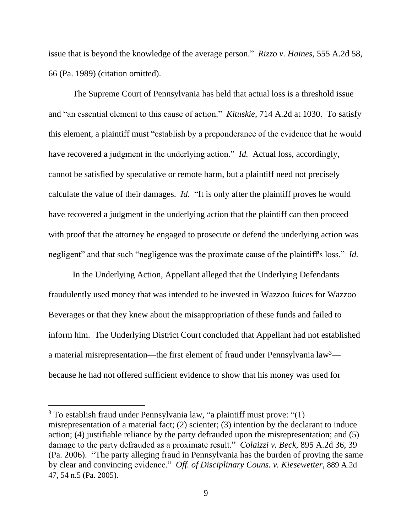issue that is beyond the knowledge of the average person." *Rizzo v. Haines*, 555 A.2d 58, 66 (Pa. 1989) (citation omitted).

The Supreme Court of Pennsylvania has held that actual loss is a threshold issue and "an essential element to this cause of action." *Kituskie*, 714 A.2d at 1030. To satisfy this element, a plaintiff must "establish by a preponderance of the evidence that he would have recovered a judgment in the underlying action." *Id.* Actual loss, accordingly, cannot be satisfied by speculative or remote harm, but a plaintiff need not precisely calculate the value of their damages. *Id.* "It is only after the plaintiff proves he would have recovered a judgment in the underlying action that the plaintiff can then proceed with proof that the attorney he engaged to prosecute or defend the underlying action was negligent" and that such "negligence was the proximate cause of the plaintiff's loss."*Id.* 

In the Underlying Action, Appellant alleged that the Underlying Defendants fraudulently used money that was intended to be invested in Wazzoo Juices for Wazzoo Beverages or that they knew about the misappropriation of these funds and failed to inform him. The Underlying District Court concluded that Appellant had not established a material misrepresentation—the first element of fraud under Pennsylvania law<sup>3</sup> because he had not offered sufficient evidence to show that his money was used for

<sup>3</sup> To establish fraud under Pennsylvania law, "a plaintiff must prove: "(1) misrepresentation of a material fact; (2) scienter; (3) intention by the declarant to induce action; (4) justifiable reliance by the party defrauded upon the misrepresentation; and (5) damage to the party defrauded as a proximate result." *Colaizzi v. Beck*, 895 A.2d 36, 39 (Pa. 2006). "The party alleging fraud in Pennsylvania has the burden of proving the same by clear and convincing evidence." *Off. of Disciplinary Couns. v. Kiesewetter*, 889 A.2d 47, 54 n.5 (Pa. 2005).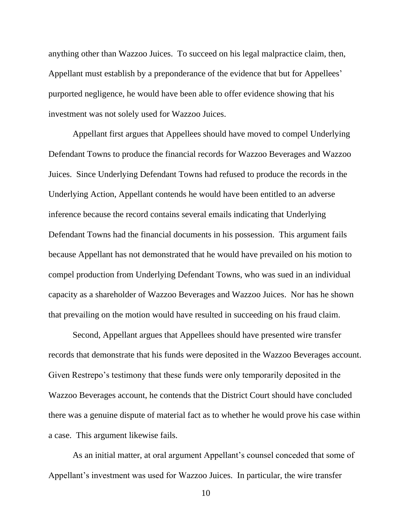anything other than Wazzoo Juices. To succeed on his legal malpractice claim, then, Appellant must establish by a preponderance of the evidence that but for Appellees' purported negligence, he would have been able to offer evidence showing that his investment was not solely used for Wazzoo Juices.

Appellant first argues that Appellees should have moved to compel Underlying Defendant Towns to produce the financial records for Wazzoo Beverages and Wazzoo Juices. Since Underlying Defendant Towns had refused to produce the records in the Underlying Action, Appellant contends he would have been entitled to an adverse inference because the record contains several emails indicating that Underlying Defendant Towns had the financial documents in his possession. This argument fails because Appellant has not demonstrated that he would have prevailed on his motion to compel production from Underlying Defendant Towns, who was sued in an individual capacity as a shareholder of Wazzoo Beverages and Wazzoo Juices. Nor has he shown that prevailing on the motion would have resulted in succeeding on his fraud claim.

Second, Appellant argues that Appellees should have presented wire transfer records that demonstrate that his funds were deposited in the Wazzoo Beverages account. Given Restrepo's testimony that these funds were only temporarily deposited in the Wazzoo Beverages account, he contends that the District Court should have concluded there was a genuine dispute of material fact as to whether he would prove his case within a case. This argument likewise fails.

As an initial matter, at oral argument Appellant's counsel conceded that some of Appellant's investment was used for Wazzoo Juices. In particular, the wire transfer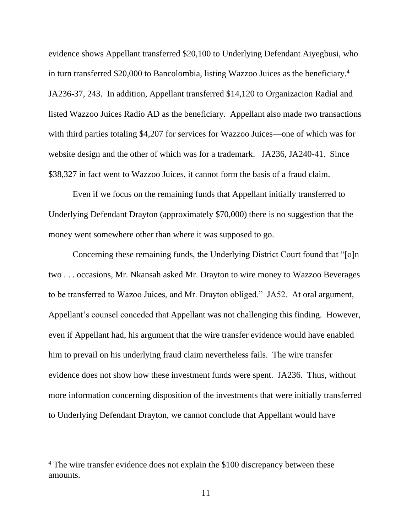evidence shows Appellant transferred \$20,100 to Underlying Defendant Aiyegbusi, who in turn transferred \$20,000 to Bancolombia, listing Wazzoo Juices as the beneficiary.<sup>4</sup> JA236-37, 243. In addition, Appellant transferred \$14,120 to Organizacion Radial and listed Wazzoo Juices Radio AD as the beneficiary. Appellant also made two transactions with third parties totaling \$4,207 for services for Wazzoo Juices—one of which was for website design and the other of which was for a trademark. JA236, JA240-41. Since \$38,327 in fact went to Wazzoo Juices, it cannot form the basis of a fraud claim.

Even if we focus on the remaining funds that Appellant initially transferred to Underlying Defendant Drayton (approximately \$70,000) there is no suggestion that the money went somewhere other than where it was supposed to go.

Concerning these remaining funds, the Underlying District Court found that "[o]n two . . . occasions, Mr. Nkansah asked Mr. Drayton to wire money to Wazzoo Beverages to be transferred to Wazoo Juices, and Mr. Drayton obliged." JA52. At oral argument, Appellant's counsel conceded that Appellant was not challenging this finding. However, even if Appellant had, his argument that the wire transfer evidence would have enabled him to prevail on his underlying fraud claim nevertheless fails. The wire transfer evidence does not show how these investment funds were spent. JA236. Thus, without more information concerning disposition of the investments that were initially transferred to Underlying Defendant Drayton, we cannot conclude that Appellant would have

<sup>&</sup>lt;sup>4</sup> The wire transfer evidence does not explain the \$100 discrepancy between these amounts.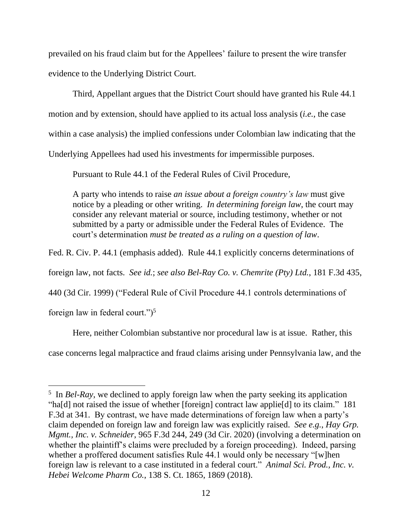prevailed on his fraud claim but for the Appellees' failure to present the wire transfer evidence to the Underlying District Court.

Third, Appellant argues that the District Court should have granted his Rule 44.1 motion and by extension, should have applied to its actual loss analysis (*i.e.*, the case within a case analysis) the implied confessions under Colombian law indicating that the Underlying Appellees had used his investments for impermissible purposes.

Pursuant to Rule 44.1 of the Federal Rules of Civil Procedure,

A party who intends to raise *an issue about a foreign country's law* must give notice by a pleading or other writing. *In determining foreign law*, the court may consider any relevant material or source, including testimony, whether or not submitted by a party or admissible under the Federal Rules of Evidence. The court's determination *must be treated as a ruling on a question of law*.

Fed. R. Civ. P. 44.1 (emphasis added). Rule 44.1 explicitly concerns determinations of

foreign law, not facts. *See id.*; *see also Bel-Ray Co. v. Chemrite (Pty) Ltd.*, 181 F.3d 435,

440 (3d Cir. 1999) ("Federal Rule of Civil Procedure 44.1 controls determinations of

foreign law in federal court." $)^5$ 

Here, neither Colombian substantive nor procedural law is at issue. Rather, this

case concerns legal malpractice and fraud claims arising under Pennsylvania law, and the

<sup>&</sup>lt;sup>5</sup> In *Bel-Ray*, we declined to apply foreign law when the party seeking its application "ha[d] not raised the issue of whether [foreign] contract law applie[d] to its claim." 181 F.3d at 341. By contrast, we have made determinations of foreign law when a party's claim depended on foreign law and foreign law was explicitly raised. *See e.g.*, *Hay Grp. Mgmt., Inc. v. Schneider*, 965 F.3d 244, 249 (3d Cir. 2020) (involving a determination on whether the plaintiff's claims were precluded by a foreign proceeding). Indeed, parsing whether a proffered document satisfies Rule 44.1 would only be necessary "[w]hen foreign law is relevant to a case instituted in a federal court." *Animal Sci. Prod., Inc. v. Hebei Welcome Pharm Co.*, 138 S. Ct. 1865, 1869 (2018).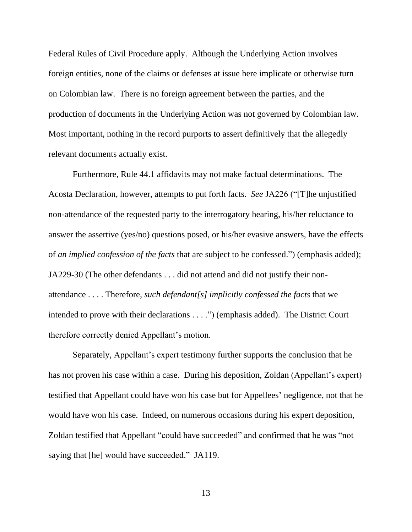Federal Rules of Civil Procedure apply. Although the Underlying Action involves foreign entities, none of the claims or defenses at issue here implicate or otherwise turn on Colombian law. There is no foreign agreement between the parties, and the production of documents in the Underlying Action was not governed by Colombian law. Most important, nothing in the record purports to assert definitively that the allegedly relevant documents actually exist.

Furthermore, Rule 44.1 affidavits may not make factual determinations. The Acosta Declaration, however, attempts to put forth facts. *See* JA226 ("[T]he unjustified non-attendance of the requested party to the interrogatory hearing, his/her reluctance to answer the assertive (yes/no) questions posed, or his/her evasive answers, have the effects of *an implied confession of the facts* that are subject to be confessed.") (emphasis added); JA229-30 (The other defendants . . . did not attend and did not justify their nonattendance . . . . Therefore, *such defendant[s] implicitly confessed the facts* that we intended to prove with their declarations . . . .") (emphasis added). The District Court therefore correctly denied Appellant's motion.

Separately, Appellant's expert testimony further supports the conclusion that he has not proven his case within a case. During his deposition, Zoldan (Appellant's expert) testified that Appellant could have won his case but for Appellees' negligence, not that he would have won his case. Indeed, on numerous occasions during his expert deposition, Zoldan testified that Appellant "could have succeeded" and confirmed that he was "not saying that [he] would have succeeded." JA119.